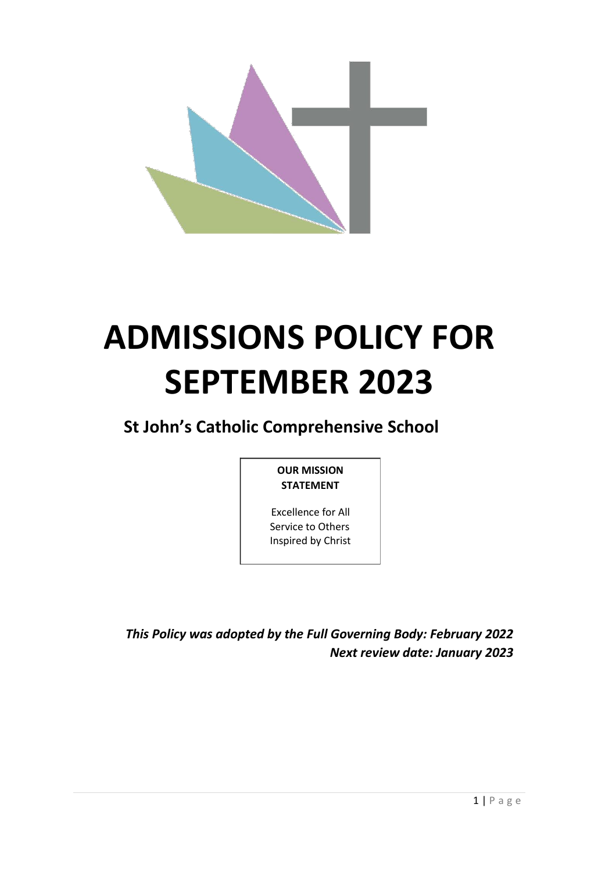

# **ADMISSIONS POLICY FOR SEPTEMBER 2023**

**St John's Catholic Comprehensive School**

# **OUR MISSION STATEMENT**

Excellence for All Service to Others Inspired by Christ

*This Policy was adopted by the Full Governing Body: February 2022 Next review date: January 2023*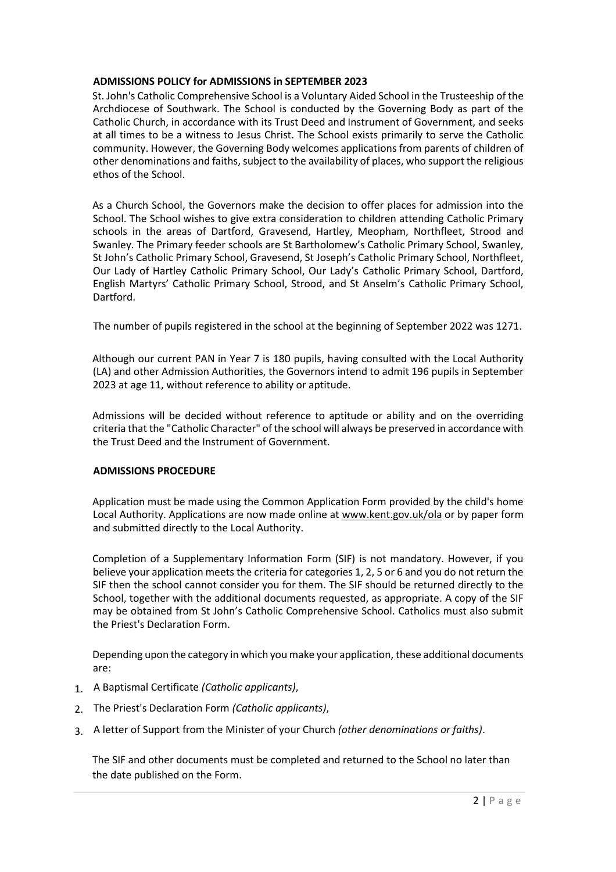## **ADMISSIONS POLICY for ADMISSIONS in SEPTEMBER 2023**

St. John's Catholic Comprehensive School is a Voluntary Aided School in the Trusteeship of the Archdiocese of Southwark. The School is conducted by the Governing Body as part of the Catholic Church, in accordance with its Trust Deed and Instrument of Government, and seeks at all times to be a witness to Jesus Christ. The School exists primarily to serve the Catholic community. However, the Governing Body welcomes applications from parents of children of other denominations and faiths, subject to the availability of places, who support the religious ethos of the School.

As a Church School, the Governors make the decision to offer places for admission into the School. The School wishes to give extra consideration to children attending Catholic Primary schools in the areas of Dartford, Gravesend, Hartley, Meopham, Northfleet, Strood and Swanley. The Primary feeder schools are St Bartholomew's Catholic Primary School, Swanley, St John's Catholic Primary School, Gravesend, St Joseph's Catholic Primary School, Northfleet, Our Lady of Hartley Catholic Primary School, Our Lady's Catholic Primary School, Dartford, English Martyrs' Catholic Primary School, Strood, and St Anselm's Catholic Primary School, Dartford.

The number of pupils registered in the school at the beginning of September 2022 was 1271.

Although our current PAN in Year 7 is 180 pupils, having consulted with the Local Authority (LA) and other Admission Authorities, the Governors intend to admit 196 pupils in September 2023 at age 11, without reference to ability or aptitude.

Admissions will be decided without reference to aptitude or ability and on the overriding criteria that the "Catholic Character" of the school will always be preserved in accordance with the Trust Deed and the Instrument of Government.

## **ADMISSIONS PROCEDURE**

Application must be made using the Common Application Form provided by the child's home Local Authority. Applications are now made online at www.kent.gov.uk/ola or by paper form and submitted directly to the Local Authority.

Completion of a Supplementary Information Form (SIF) is not mandatory. However, if you believe your application meets the criteria for categories 1, 2, 5 or 6 and you do not return the SIF then the school cannot consider you for them. The SIF should be returned directly to the School, together with the additional documents requested, as appropriate. A copy of the SIF may be obtained from St John's Catholic Comprehensive School. Catholics must also submit the Priest's Declaration Form.

Depending upon the category in which you make your application, these additional documents are:

- 1. A Baptismal Certificate *(Catholic applicants)*,
- 2. The Priest's Declaration Form *(Catholic applicants)*,
- 3. A letter of Support from the Minister of your Church *(other denominations or faiths)*.

The SIF and other documents must be completed and returned to the School no later than the date published on the Form.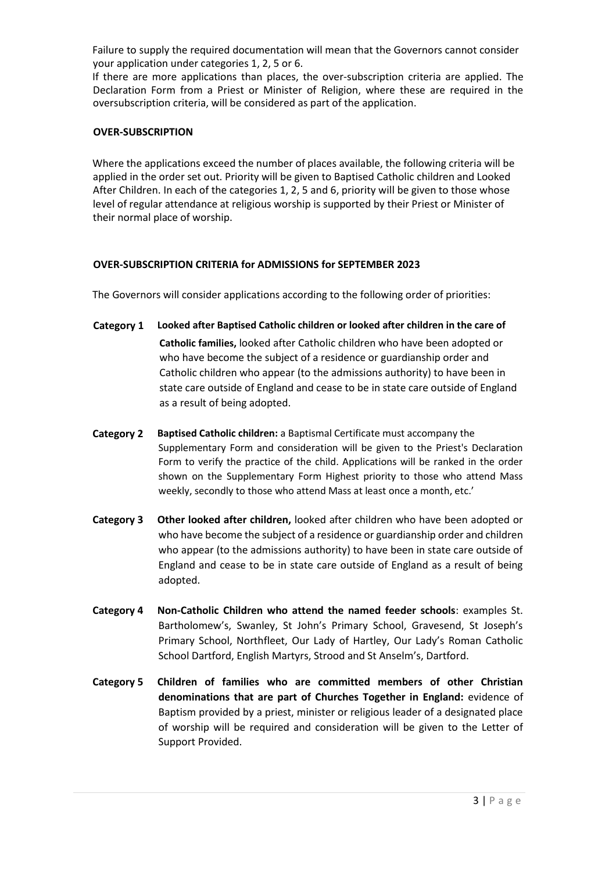Failure to supply the required documentation will mean that the Governors cannot consider your application under categories 1, 2, 5 or 6.

If there are more applications than places, the over-subscription criteria are applied. The Declaration Form from a Priest or Minister of Religion, where these are required in the oversubscription criteria, will be considered as part of the application.

### **OVER-SUBSCRIPTION**

Where the applications exceed the number of places available, the following criteria will be applied in the order set out. Priority will be given to Baptised Catholic children and Looked After Children. In each of the categories 1, 2, 5 and 6, priority will be given to those whose level of regular attendance at religious worship is supported by their Priest or Minister of their normal place of worship.

## **OVER-SUBSCRIPTION CRITERIA for ADMISSIONS for SEPTEMBER 2023**

The Governors will consider applications according to the following order of priorities:

- **Category 1 Looked after Baptised Catholic children or looked after children in the care of Catholic families,** looked after Catholic children who have been adopted or who have become the subject of a residence or guardianship order and Catholic children who appear (to the admissions authority) to have been in state care outside of England and cease to be in state care outside of England as a result of being adopted.
- **Category 2 Baptised Catholic children:** a Baptismal Certificate must accompany the Supplementary Form and consideration will be given to the Priest's Declaration Form to verify the practice of the child. Applications will be ranked in the order shown on the Supplementary Form Highest priority to those who attend Mass weekly, secondly to those who attend Mass at least once a month, etc.'
- **Category 3 Other looked after children,** looked after children who have been adopted or who have become the subject of a residence or guardianship order and children who appear (to the admissions authority) to have been in state care outside of England and cease to be in state care outside of England as a result of being adopted.
- **Category 4 Non-Catholic Children who attend the named feeder schools**: examples St. Bartholomew's, Swanley, St John's Primary School, Gravesend, St Joseph's Primary School, Northfleet, Our Lady of Hartley, Our Lady's Roman Catholic School Dartford, English Martyrs, Strood and St Anselm's, Dartford.
- **Category 5 Children of families who are committed members of other Christian denominations that are part of Churches Together in England:** evidence of Baptism provided by a priest, minister or religious leader of a designated place of worship will be required and consideration will be given to the Letter of Support Provided.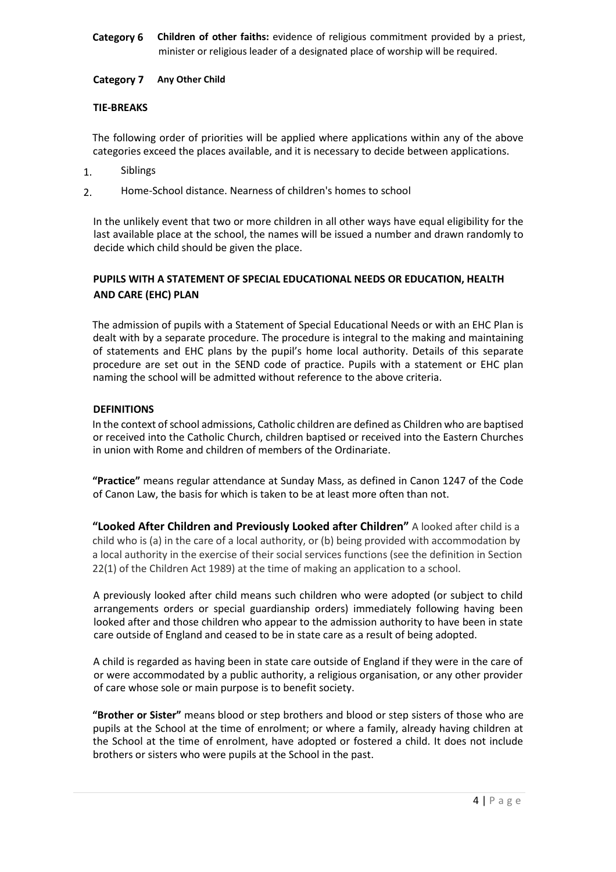## **Category 6 Children of other faiths:** evidence of religious commitment provided by a priest, minister or religious leader of a designated place of worship will be required.

## **Category 7 Any Other Child**

## **TIE-BREAKS**

The following order of priorities will be applied where applications within any of the above categories exceed the places available, and it is necessary to decide between applications.

- 1. Siblings
- 2. Home-School distance. Nearness of children's homes to school

In the unlikely event that two or more children in all other ways have equal eligibility for the last available place at the school, the names will be issued a number and drawn randomly to decide which child should be given the place.

## **PUPILS WITH A STATEMENT OF SPECIAL EDUCATIONAL NEEDS OR EDUCATION, HEALTH AND CARE (EHC) PLAN**

The admission of pupils with a Statement of Special Educational Needs or with an EHC Plan is dealt with by a separate procedure. The procedure is integral to the making and maintaining of statements and EHC plans by the pupil's home local authority. Details of this separate procedure are set out in the SEND code of practice. Pupils with a statement or EHC plan naming the school will be admitted without reference to the above criteria.

## **DEFINITIONS**

In the context of school admissions, Catholic children are defined as Children who are baptised or received into the Catholic Church, children baptised or received into the Eastern Churches in union with Rome and children of members of the Ordinariate.

**"Practice"** means regular attendance at Sunday Mass, as defined in Canon 1247 of the Code of Canon Law, the basis for which is taken to be at least more often than not.

**"Looked After Children and Previously Looked after Children"** A looked after child is a child who is (a) in the care of a local authority, or (b) being provided with accommodation by a local authority in the exercise of their social services functions (see the definition in Section 22(1) of the Children Act 1989) at the time of making an application to a school.

A previously looked after child means such children who were adopted (or subject to child arrangements orders or special guardianship orders) immediately following having been looked after and those children who appear to the admission authority to have been in state care outside of England and ceased to be in state care as a result of being adopted.

A child is regarded as having been in state care outside of England if they were in the care of or were accommodated by a public authority, a religious organisation, or any other provider of care whose sole or main purpose is to benefit society.

**"Brother or Sister"** means blood or step brothers and blood or step sisters of those who are pupils at the School at the time of enrolment; or where a family, already having children at the School at the time of enrolment, have adopted or fostered a child. It does not include brothers or sisters who were pupils at the School in the past.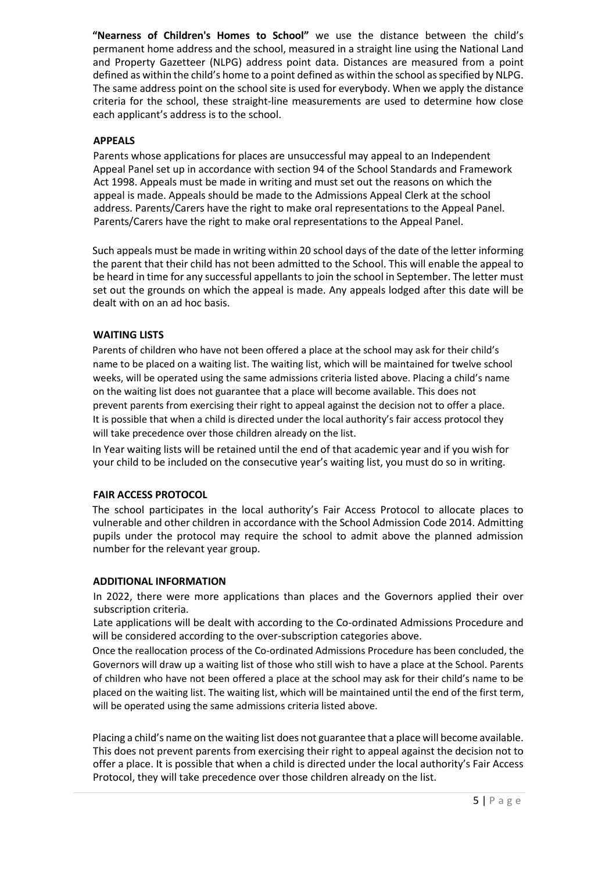**"Nearness of Children's Homes to School"** we use the distance between the child's permanent home address and the school, measured in a straight line using the National Land and Property Gazetteer (NLPG) address point data. Distances are measured from a point defined as within the child's home to a point defined as within the school as specified by NLPG. The same address point on the school site is used for everybody. When we apply the distance criteria for the school, these straight-line measurements are used to determine how close each applicant's address is to the school.

## **APPEALS**

Parents whose applications for places are unsuccessful may appeal to an Independent Appeal Panel set up in accordance with section 94 of the School Standards and Framework Act 1998. Appeals must be made in writing and must set out the reasons on which the appeal is made. Appeals should be made to the Admissions Appeal Clerk at the school address. Parents/Carers have the right to make oral representations to the Appeal Panel. Parents/Carers have the right to make oral representations to the Appeal Panel.

Such appeals must be made in writing within 20 school days of the date of the letter informing the parent that their child has not been admitted to the School. This will enable the appeal to be heard in time for any successful appellants to join the school in September. The letter must set out the grounds on which the appeal is made. Any appeals lodged after this date will be dealt with on an ad hoc basis.

## **WAITING LISTS**

Parents of children who have not been offered a place at the school may ask for their child's name to be placed on a waiting list. The waiting list, which will be maintained for twelve school weeks, will be operated using the same admissions criteria listed above. Placing a child's name on the waiting list does not guarantee that a place will become available. This does not prevent parents from exercising their right to appeal against the decision not to offer a place. It is possible that when a child is directed under the local authority's fair access protocol they will take precedence over those children already on the list.

In Year waiting lists will be retained until the end of that academic year and if you wish for your child to be included on the consecutive year's waiting list, you must do so in writing.

### **FAIR ACCESS PROTOCOL**

The school participates in the local authority's Fair Access Protocol to allocate places to vulnerable and other children in accordance with the School Admission Code 2014. Admitting pupils under the protocol may require the school to admit above the planned admission number for the relevant year group.

### **ADDITIONAL INFORMATION**

In 2022, there were more applications than places and the Governors applied their over subscription criteria.

Late applications will be dealt with according to the Co-ordinated Admissions Procedure and will be considered according to the over-subscription categories above.

Once the reallocation process of the Co-ordinated Admissions Procedure has been concluded, the Governors will draw up a waiting list of those who still wish to have a place at the School. Parents of children who have not been offered a place at the school may ask for their child's name to be placed on the waiting list. The waiting list, which will be maintained until the end of the first term, will be operated using the same admissions criteria listed above.

Placing a child's name on the waiting list does not guarantee that a place will become available. This does not prevent parents from exercising their right to appeal against the decision not to offer a place. It is possible that when a child is directed under the local authority's Fair Access Protocol, they will take precedence over those children already on the list.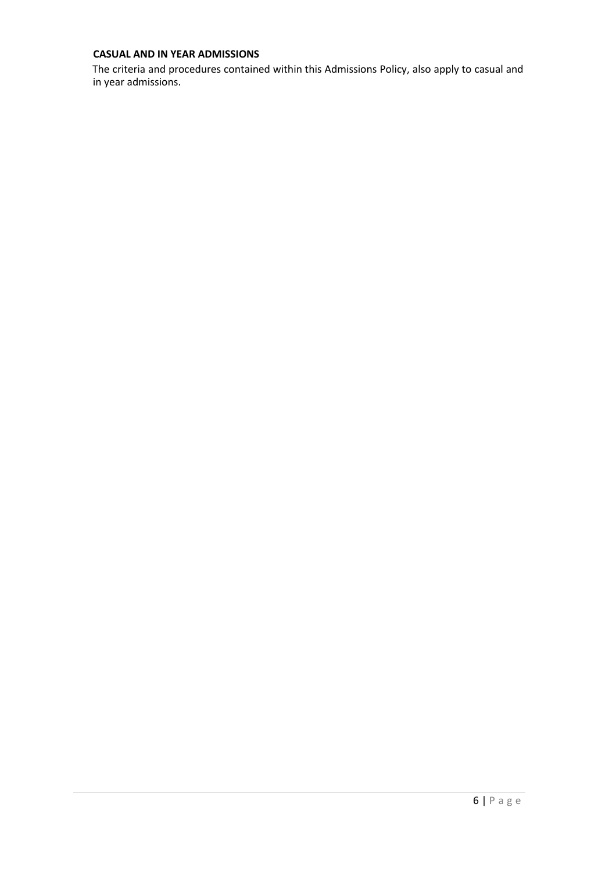## **CASUAL AND IN YEAR ADMISSIONS**

The criteria and procedures contained within this Admissions Policy, also apply to casual and in year admissions.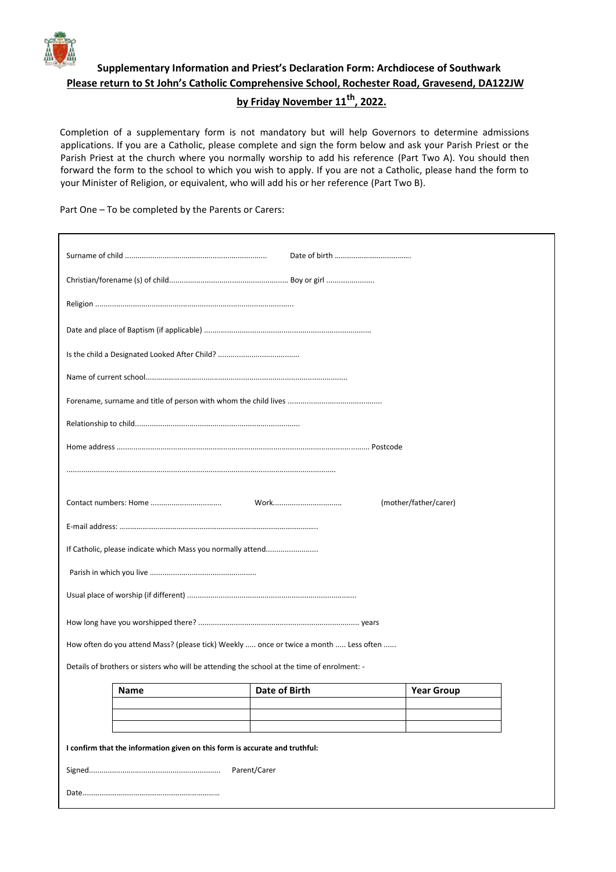

# **Supplementary Information and Priest's Declaration Form: Archdiocese of Southwark Please return to St John's Catholic Comprehensive School, Rochester Road, Gravesend, DA122JW by Friday November 11th, 2022.**

Completion of a supplementary form is not mandatory but will help Governors to determine admissions applications. If you are a Catholic, please complete and sign the form below and ask your Parish Priest or the Parish Priest at the church where you normally worship to add his reference (Part Two A). You should then forward the form to the school to which you wish to apply. If you are not a Catholic, please hand the form to your Minister of Religion, or equivalent, who will add his or her reference (Part Two B).

Part One – To be completed by the Parents or Carers:

| Work<br>(mother/father/carer)                                                               |      |               |                   |  |  |  |
|---------------------------------------------------------------------------------------------|------|---------------|-------------------|--|--|--|
|                                                                                             |      |               |                   |  |  |  |
| If Catholic, please indicate which Mass you normally attend                                 |      |               |                   |  |  |  |
|                                                                                             |      |               |                   |  |  |  |
|                                                                                             |      |               |                   |  |  |  |
|                                                                                             |      |               |                   |  |  |  |
| How often do you attend Mass? (please tick) Weekly  once or twice a month  Less often       |      |               |                   |  |  |  |
| Details of brothers or sisters who will be attending the school at the time of enrolment: - |      |               |                   |  |  |  |
|                                                                                             | Name | Date of Birth | <b>Year Group</b> |  |  |  |
|                                                                                             |      |               |                   |  |  |  |
|                                                                                             |      |               |                   |  |  |  |
| I confirm that the information given on this form is accurate and truthful:                 |      |               |                   |  |  |  |
| Parent/Carer                                                                                |      |               |                   |  |  |  |
|                                                                                             |      |               |                   |  |  |  |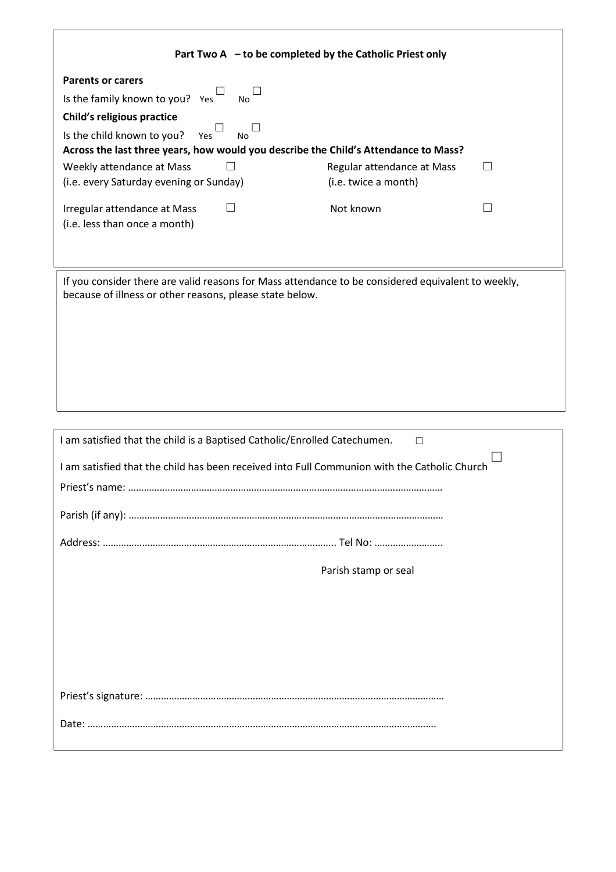| Part Two A - to be completed by the Catholic Priest only                                                                                                                                                                                     |                                                    |         |  |  |  |
|----------------------------------------------------------------------------------------------------------------------------------------------------------------------------------------------------------------------------------------------|----------------------------------------------------|---------|--|--|--|
| <b>Parents or carers</b><br>Is the family known to you? Yes<br>No<br><b>Child's religious practice</b><br>Is the child known to you? Yes<br><b>No</b><br>Across the last three years, how would you describe the Child's Attendance to Mass? |                                                    |         |  |  |  |
| Weekly attendance at Mass<br>П<br>(i.e. every Saturday evening or Sunday)                                                                                                                                                                    | Regular attendance at Mass<br>(i.e. twice a month) | $\perp$ |  |  |  |
| $\Box$<br>Irregular attendance at Mass<br>(i.e. less than once a month)                                                                                                                                                                      | Not known                                          | $\Box$  |  |  |  |
| If you consider there are valid reasons for Mass attendance to be considered equivalent to weekly,<br>because of illness or other reasons, please state below.                                                                               |                                                    |         |  |  |  |
| I am satisfied that the child is a Baptised Catholic/Enrolled Catechumen.<br>□                                                                                                                                                               |                                                    |         |  |  |  |
| I am satisfied that the child has been received into Full Communion with the Catholic Church                                                                                                                                                 |                                                    |         |  |  |  |
|                                                                                                                                                                                                                                              | Parish stamp or seal                               |         |  |  |  |
|                                                                                                                                                                                                                                              |                                                    |         |  |  |  |
|                                                                                                                                                                                                                                              |                                                    |         |  |  |  |
|                                                                                                                                                                                                                                              |                                                    |         |  |  |  |

<u> 1989 - Johann Stoff, amerikansk politiker (d. 1989)</u>